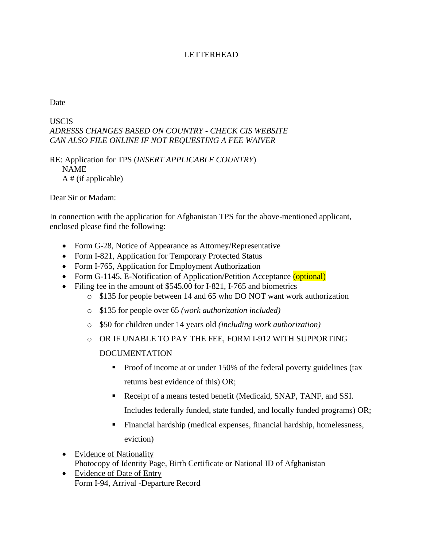## LETTERHEAD

Date

## USCIS *ADRESSS CHANGES BASED ON COUNTRY - CHECK CIS WEBSITE CAN ALSO FILE ONLINE IF NOT REQUESTING A FEE WAIVER*

RE: Application for TPS (*INSERT APPLICABLE COUNTRY*) NAME A # (if applicable)

Dear Sir or Madam:

In connection with the application for Afghanistan TPS for the above-mentioned applicant, enclosed please find the following:

- Form G-28, Notice of Appearance as Attorney/Representative
- Form I-821, Application for Temporary Protected Status
- Form I-765, Application for Employment Authorization
- Form G-1145, E-Notification of Application/Petition Acceptance (optional)
- Filing fee in the amount of \$545.00 for I-821, I-765 and biometrics
	- o \$135 for people between 14 and 65 who DO NOT want work authorization
	- o \$135 for people over 65 *(work authorization included)*
	- o \$50 for children under 14 years old *(including work authorization)*
	- o OR IF UNABLE TO PAY THE FEE, FORM I-912 WITH SUPPORTING DOCUMENTATION
		- Proof of income at or under 150% of the federal poverty guidelines (tax returns best evidence of this) OR;
		- Receipt of a means tested benefit (Medicaid, SNAP, TANF, and SSI. Includes federally funded, state funded, and locally funded programs) OR;
		- Financial hardship (medical expenses, financial hardship, homelessness, eviction)
- Evidence of Nationality Photocopy of Identity Page, Birth Certificate or National ID of Afghanistan
- Evidence of Date of Entry Form I-94, Arrival -Departure Record